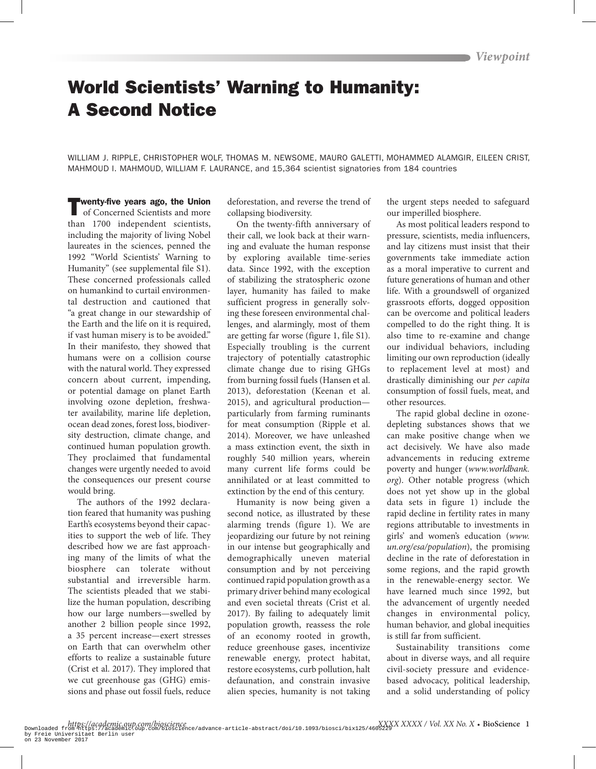# World Scientists' Warning to Humanity: A Second Notice

WILLIAM J. RIPPLE, CHRISTOPHER WOLF, THOMAS M. NEWSOME, MAURO GALETTI, MOHAMMED ALAMGIR, EILEEN CRIST, MAHMOUD I. MAHMOUD, WILLIAM F. LAURANCE, and 15,364 scientist signatories from 184 countries

Twenty-five years ago, the Union of Concerned Scientists and more than 1700 independent scientists, including the majority of living Nobel laureates in the sciences, penned the 1992 "World Scientists' Warning to Humanity" (see supplemental file S1). These concerned professionals called on humankind to curtail environmental destruction and cautioned that "a great change in our stewardship of the Earth and the life on it is required, if vast human misery is to be avoided." In their manifesto, they showed that humans were on a collision course with the natural world. They expressed concern about current, impending, or potential damage on planet Earth involving ozone depletion, freshwater availability, marine life depletion, ocean dead zones, forest loss, biodiversity destruction, climate change, and continued human population growth. They proclaimed that fundamental changes were urgently needed to avoid the consequences our present course would bring.

The authors of the 1992 declaration feared that humanity was pushing Earth's ecosystems beyond their capacities to support the web of life. They described how we are fast approaching many of the limits of what the biosphere can tolerate without substantial and irreversible harm. The scientists pleaded that we stabilize the human population, describing how our large numbers—swelled by another 2 billion people since 1992, a 35 percent increase—exert stresses on Earth that can overwhelm other efforts to realize a sustainable future (Crist et al. 2017). They implored that we cut greenhouse gas (GHG) emissions and phase out fossil fuels, reduce

by Freie Universitaet Berlin user on 23 November 2017

deforestation, and reverse the trend of collapsing biodiversity.

On the twenty-fifth anniversary of their call, we look back at their warning and evaluate the human response by exploring available time-series data. Since 1992, with the exception of stabilizing the stratospheric ozone layer, humanity has failed to make sufficient progress in generally solving these foreseen environmental challenges, and alarmingly, most of them are getting far worse (figure 1, file S1). Especially troubling is the current trajectory of potentially catastrophic climate change due to rising GHGs from burning fossil fuels (Hansen et al. 2013), deforestation (Keenan et al. 2015), and agricultural production particularly from farming ruminants for meat consumption (Ripple et al. 2014). Moreover, we have unleashed a mass extinction event, the sixth in roughly 540 million years, wherein many current life forms could be annihilated or at least committed to extinction by the end of this century.

Humanity is now being given a second notice, as illustrated by these alarming trends (figure 1). We are jeopardizing our future by not reining in our intense but geographically and demographically uneven material consumption and by not perceiving continued rapid population growth as a primary driver behind many ecological and even societal threats (Crist et al. 2017). By failing to adequately limit population growth, reassess the role of an economy rooted in growth, reduce greenhouse gases, incentivize renewable energy, protect habitat, restore ecosystems, curb pollution, halt defaunation, and constrain invasive alien species, humanity is not taking

the urgent steps needed to safeguard our imperilled biosphere.

As most political leaders respond to pressure, scientists, media influencers, and lay citizens must insist that their governments take immediate action as a moral imperative to current and future generations of human and other life. With a groundswell of organized grassroots efforts, dogged opposition can be overcome and political leaders compelled to do the right thing. It is also time to re-examine and change our individual behaviors, including limiting our own reproduction (ideally to replacement level at most) and drastically diminishing our *per capita* consumption of fossil fuels, meat, and other resources.

The rapid global decline in ozonedepleting substances shows that we can make positive change when we act decisively. We have also made advancements in reducing extreme poverty and hunger (*www.worldbank. org*). Other notable progress (which does not yet show up in the global data sets in figure 1) include the rapid decline in fertility rates in many regions attributable to investments in girls' and women's education (*www. un.org/esa/population*), the promising decline in the rate of deforestation in some regions, and the rapid growth in the renewable-energy sector. We have learned much since 1992, but the advancement of urgently needed changes in environmental policy, human behavior, and global inequities is still far from sufficient.

Sustainability transitions come about in diverse ways, and all require civil-society pressure and evidencebased advocacy, political leadership, and a solid understanding of policy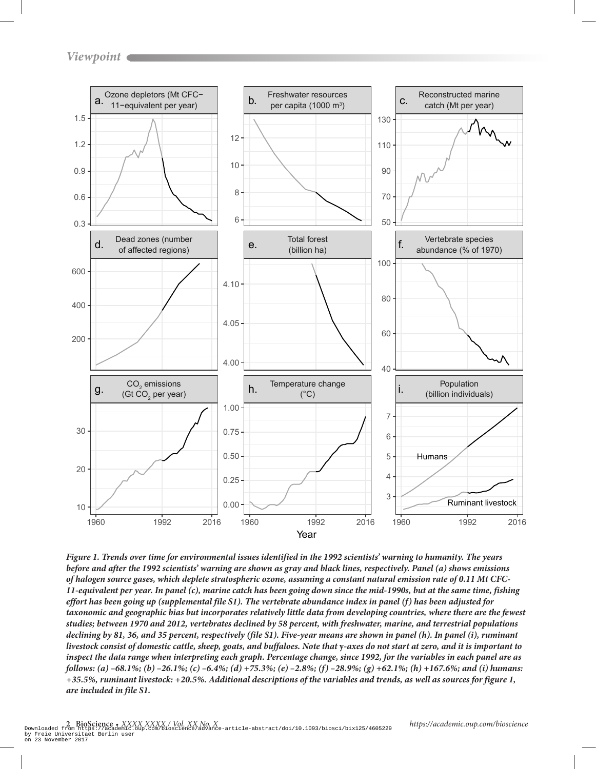

*Figure 1. Trends over time for environmental issues identified in the 1992 scientists' warning to humanity. The years before and after the 1992 scientists' warning are shown as gray and black lines, respectively. Panel (a) shows emissions of halogen source gases, which deplete stratospheric ozone, assuming a constant natural emission rate of 0.11 Mt CFC-11-equivalent per year. In panel (c), marine catch has been going down since the mid-1990s, but at the same time, fishing effort has been going up (supplemental file S1). The vertebrate abundance index in panel (f) has been adjusted for taxonomic and geographic bias but incorporates relatively little data from developing countries, where there are the fewest studies; between 1970 and 2012, vertebrates declined by 58 percent, with freshwater, marine, and terrestrial populations declining by 81, 36, and 35 percent, respectively (file S1). Five-year means are shown in panel (h). In panel (i), ruminant livestock consist of domestic cattle, sheep, goats, and buffaloes. Note that* **y***-axes do not start at zero, and it is important to inspect the data range when interpreting each graph. Percentage change, since 1992, for the variables in each panel are as follows: (a) –68.1%; (b) –26.1%; (c) –6.4%; (d) +75.3%; (e) –2.8%; (f) –28.9%; (g) +62.1%; (h) +167.6%; and (i) humans: +35.5%, ruminant livestock: +20.5%. Additional descriptions of the variables and trends, as well as sources for figure 1, are included in file S1.*